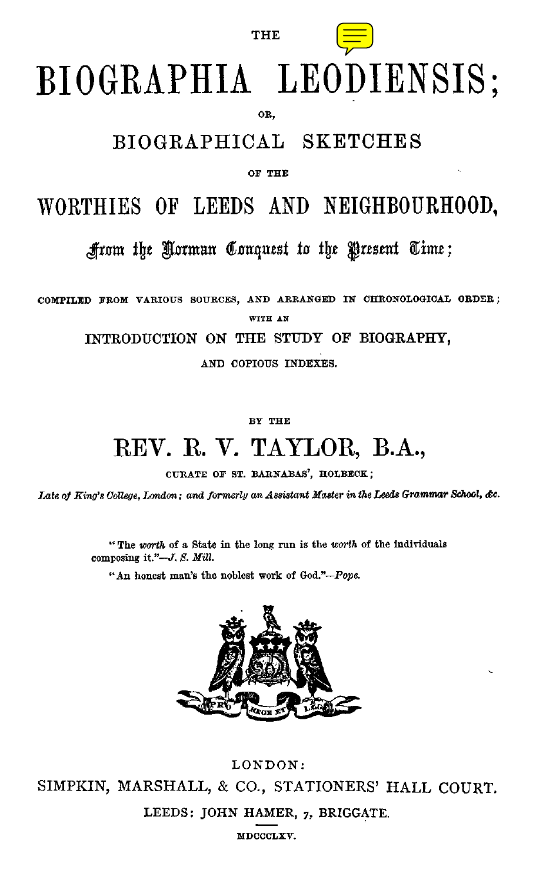

# BIOGRAPHIA LEODIENSIS:

**THE** 

OR.

#### BIOGRAPHICAL SKETCHES

OF THE

## WORTHIES OF LEEDS AND NEIGHBOURHOOD.

Arom the Norman Conquest to the Present Time;

COMPILED FROM VARIOUS SOURCES, AND ARRANGED IN CHRONOLOGICAL ORDER:

WITH AN

INTRODUCTION ON THE STUDY OF BIOGRAPHY.

AND COPIOUS INDEXES.

BY THE

# REV. R. V. TAYLOR, B.A.,

CURATE OF ST. BARNABAS', HOLBECK;

Late of King's College, London; and formerly an Assistant Master in the Leeds Grammar School, &c.

"The worth of a State in the long run is the worth of the individuals composing it."-J. S. Mill.

"An honest man's the noblest work of God."-Pope.



LONDON: SIMPKIN, MARSHALL, & CO., STATIONERS' HALL COURT. LEEDS: JOHN HAMER, 7, BRIGGATE.

MDCCCLXV.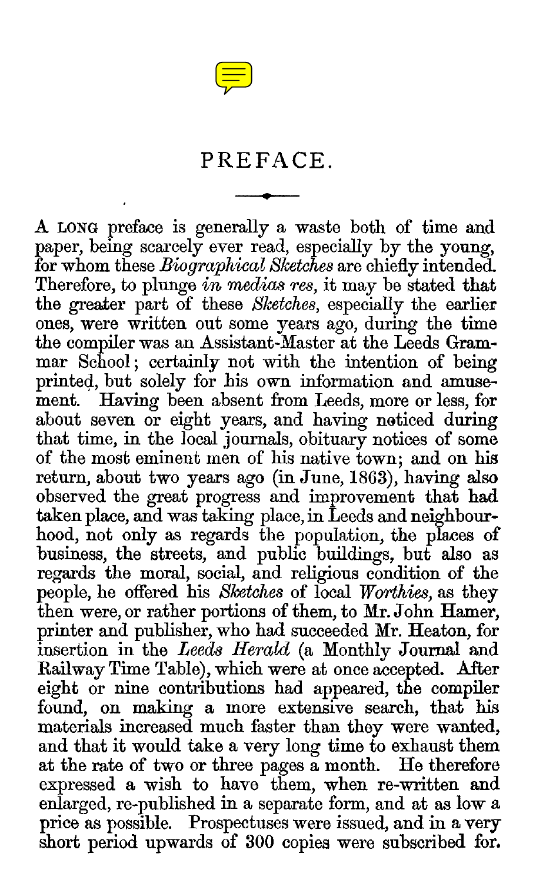

### PREFACE.

A LONG preface is generally a waste both of time and paper, being scarcely ever read, especially by the young, for whom these *Biographical Sketches* are chiefly intended. Therefore, to plunge *in medias res,* it may be stated that the greater part of these *Sketches,* especially the earlier ones, were written out some years ago, during the time the compiler was an Assistant-Master at the Leeds Grammar School; certainly not with the intention of being printed, but solely for his own information and amusement. Having been absent from Leeds, more or less, for about seven or eight years, and having noticed during that time, in the local journals, obituary notices of some of the most eminent men of his native town; and on his return, about two years ago (in June, 1863), having also observed the great progress and improvement that had taken place, and was taking place, in Leeds and neighbourhood, not only as regards the population, the places of business, the streets, and public buildings, but also as regards the moral, social, and religious condition of the people, he offered his *Sketches* of local *Worthies,* as they then were, or rather portions of them, to Mr. John Hamer, printer and publisher, who had succeeded Mr. Heaton, for insertion in the *Leeds Herald* (a Monthly Journal and Railway Time Table), which were at once accepted. After eight or nine contributions had appeared, the compiler found, on making a more extensive search, that his materials increased much faster than they were wanted, and that it would take a very long time to exhaust them<br>at the rate of two or three pages a month. He therefore at the rate of two or three pages a month. expressed a wish to have them, when re-written and enlarged, re-published in a separate form, and at as low a price as possible. Prospectuses were issued, and in a very short period upwards of 300 copies were subscribed for.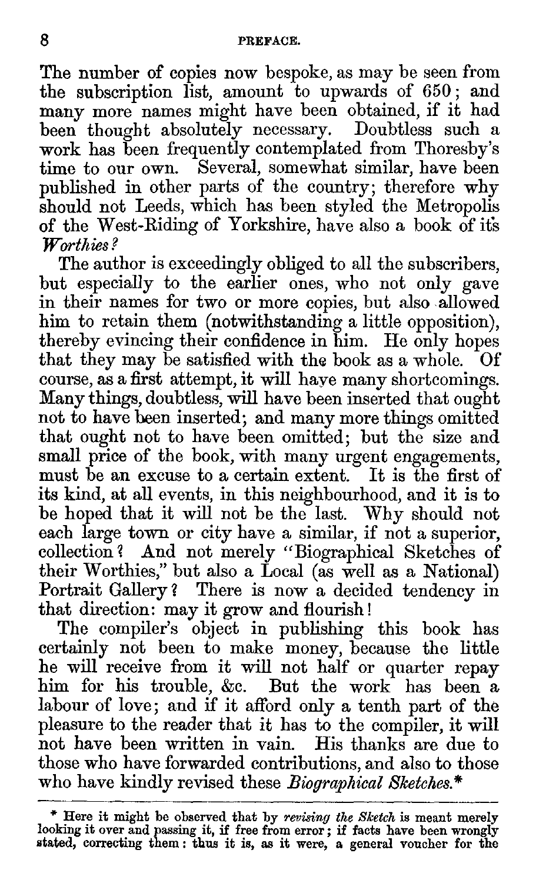The number of copies now bespoke, as may be seen from the subscription list, amount to upwards of 650 ; and many more names might have been obtained, if it had been thought absolutely necessary. Doubtless such a work has been frequently contemplated from Thoresby's time to our own. Several, somewhat similar, have been published in other parts of the country; therefore why should not Leeds, which has been styled the Metropolis of the West-Riding of Yorkshire, have also a book of ifs *Worthies?* 

The author is exceedingly obliged to all the subscribers, but especially to the earlier ones, who not only gave in their names for two or more copies, but also allowed him to retain them (notwithstanding a little opposition), thereby evincing their confidence in him. He only hopes that they may be satisfied with the book as a whole. course, as a first attempt, it will have many shortcomings. Many things, doubtless, will have been inserted that ought not to have been inserted; and many more things omitted that ought not to have been omitted; but the size and small price of the book, with many urgent engagements, must be an excuse to a certain extent. It is the first of its kind, at all events, in this neighbourhood, and it is to be hoped that it will not be the last. Why should not each large town or city have a similar, if not a superior, collection ? And not merely "Biographical Sketches of their Worthies," but also a Local (as well as a National) Portrait Gallery ? There is now a decided tendency in that direction: may it grow and flourish !

The compiler's object in publishing this book has certainly not been to make money, because the little he will receive from it will not half or quarter repay him for his trouble, &c. But the work has been a labour of love; and if it afford only a tenth part of the pleasure to the reader that it has to the compiler, it will not have been written in vain. His thanks are due to those who have forwarded contributions, and also to those who have kindly revised these *Biographical Sketches.\** 

<sup>\*</sup> Here it might be observed that by *revising the Sketch* is meant merely looking it over and passing it, if *free* from error; if facts have been wrongly stated, correcting them : thus it is, as it were, a general voucher for the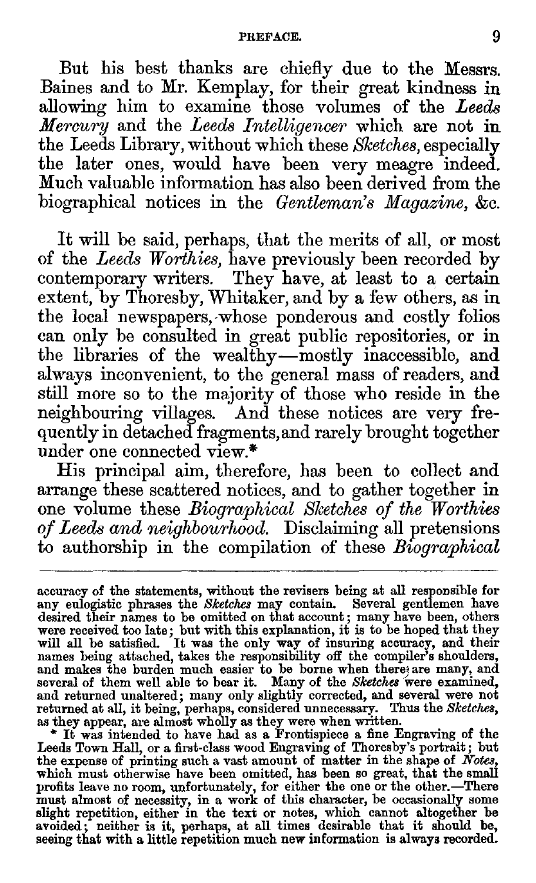#### PREFACE. 9

But his best thanks are chiefly due to the Messrs. Baines and to Mr. Kemplay, for their great kindness in allowing him to examine those volumes of the *Leeds Mercury* and the *Leeds Intelligencer* which are not in the Leeds Library, without which these *Sketches,* especially the later ones, would have been very meagre indeed. Much valuable information has also been derived from the biographical notices in the *Gentleman's Magazine,* &c.

It will be said, perhaps, that the merits of all, or most of the *Leeds Worthies,* have previously been recorded by contemporary writers. They have, at least to a certain extent, by Thoresby, Whitaker, and by a few others, as in the local newspapers,-whose ponderous and costly folios can only be consulted in great public repositories, or in the libraries of the wealthy—mostly inaccessible, and always inconvenient, to the general mass of readers, and still more so to the majority of those who reside in the neighbouring villages. And these notices are very frequently in detached fragments, and rarely brought together under one connected view.\*

His principal aim, therefore, has been to collect and arrange these scattered notices, and to gather together in one volume these *Biographical Sketches of the Worthies of Leeds and neighbourhood.* Disclaiming all pretensions to authorship in the compilation of these *Biographical* 

Leeds Town Hall, or a first-class wood Engraving of Thoresby's portrait; but<br>the expense of printing such a vast amount of matter in the shape of *Notes*,<br>which must otherwise have been omitted, has been so great, that the profits leave no room, unfortunately, for either the one or the other.—There<br>must almost of necessity, in a work of this character, be occasionally some<br>slight repetition, either in the text or notes, which cannot altogeth

accuracy of the statements, without the revisers being at all responsible for any eulogistic phrases the *Sketches* may contain. Several gentlemen have desired their names to be omitted on that account; many have been, others were received too late; but with this explanation, it is to be hoped that they will all be satisfied. It was the only way of insuring accuracy, and their names being attached, takes the responsibility off the compiler's sh and makes the burden much easier to be borne when there are many, and several of them well able to bear it. Many of the *Sketches* were examined, and returned unaltered; many only slightly corrected, and several were not returned at all, it being, perhaps, considered unnecessary. Thus the Sketches, as they appear, are almost wholly as they were when written.<br>  $\frac{1}{$